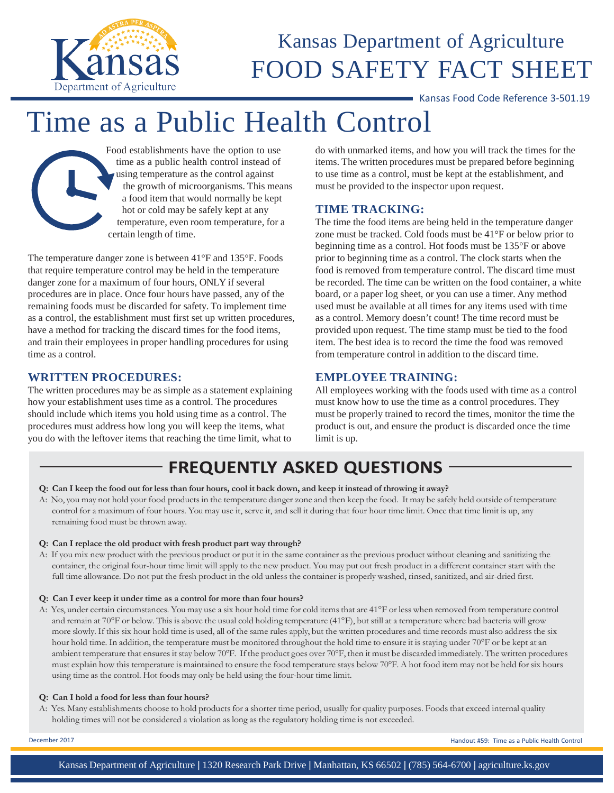

### Kansas Department of Agriculture FOOD SAFETY FACT SHEET

Kansas Food Code Reference 3-501.19

# Time as a Public Health Control



The temperature danger zone is between 41°F and 135°F. Foods that require temperature control may be held in the temperature danger zone for a maximum of four hours, ONLY if several procedures are in place. Once four hours have passed, any of the remaining foods must be discarded for safety. To implement time as a control, the establishment must first set up written procedures, have a method for tracking the discard times for the food items, and train their employees in proper handling procedures for using time as a control.

#### **WRITTEN PROCEDURES:**

The written procedures may be as simple as a statement explaining how your establishment uses time as a control. The procedures should include which items you hold using time as a control. The procedures must address how long you will keep the items, what you do with the leftover items that reaching the time limit, what to

do with unmarked items, and how you will track the times for the items. The written procedures must be prepared before beginning to use time as a control, must be kept at the establishment, and must be provided to the inspector upon request.

#### **TIME TRACKING:**

The time the food items are being held in the temperature danger zone must be tracked. Cold foods must be 41°F or below prior to beginning time as a control. Hot foods must be 135°F or above prior to beginning time as a control. The clock starts when the food is removed from temperature control. The discard time must be recorded. The time can be written on the food container, a white board, or a paper log sheet, or you can use a timer. Any method used must be available at all times for any items used with time as a control. Memory doesn't count! The time record must be provided upon request. The time stamp must be tied to the food item. The best idea is to record the time the food was removed from temperature control in addition to the discard time.

#### **EMPLOYEE TRAINING:**

All employees working with the foods used with time as a control must know how to use the time as a control procedures. They must be properly trained to record the times, monitor the time the product is out, and ensure the product is discarded once the time limit is up.

### **FREQUENTLY ASKED QUESTIONS**

#### Q: Can I keep the food out for less than four hours, cool it back down, and keep it instead of throwing it away?

A: No, you may not hold your food products in the temperature danger zone and then keep the food. It may be safely held outside of temperature control for a maximum of four hours. You may use it, serve it, and sell it during that four hour time limit. Once that time limit is up, any remaining food must be thrown away.

#### **Q: Can I replace the old product with fresh product part way through?**

A: If you mix new product with the previous product or put it in the same container as the previous product without cleaning and sanitizing the container, the original four-hour time limit will apply to the new product. You may put out fresh product in a different container start with the full time allowance. Do not put the fresh product in the old unless the container is properly washed, rinsed, sanitized, and air-dried first.

#### **Q: Can I ever keep it under time as a control for more than four hours?**

A: Yes, under certain circumstances. You may use a six hour hold time for cold itemsthat are 41°F or less when removed from temperature control and remain at 70°F or below. This is above the usual cold holding temperature (41°F), but still at a temperature where bad bacteria will grow more slowly. If this six hour hold time is used, all of the same rules apply, but the written procedures and time records must also address the six hour hold time. In addition, the temperature must be monitored throughout the hold time to ensure it is staying under 70°F or be kept at an ambient temperature that ensures it stay below 70°F. If the product goes over 70°F, then it must be discarded immediately. The written procedures must explain how this temperature is maintained to ensure the food temperature stays below 70°F. A hot food item may not be held for six hours using time as the control. Hot foods may only be held using the four-hour time limit.

#### **Q: Can I hold a food for less than four hours?**

A: Yes. Many establishments choose to hold products for a shorter time period, usually for quality purposes. Foods that exceed internal quality holding times will not be considered a violation as long as the regulatory holding time is not exceeded.

December 2017 Handout #59: Time as a Public Health Control